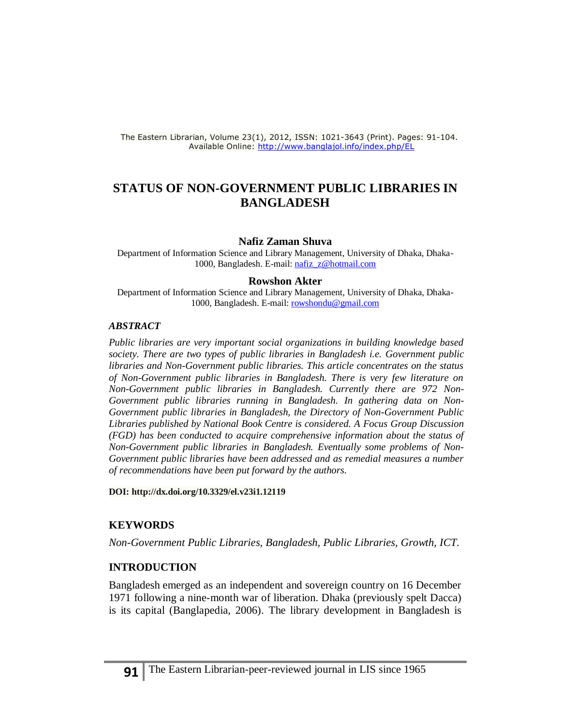The Eastern Librarian, Volume 23(1), 2012, ISSN: 1021-3643 (Print). Pages: 91-104. Available Online:<http://www.banglajol.info/index.php/EL>

# **STATUS OF NON-GOVERNMENT PUBLIC LIBRARIES IN BANGLADESH**

### **Nafiz Zaman Shuva**

Department of Information Science and Library Management, University of Dhaka, Dhaka-1000, Bangladesh. E-mail[: nafiz\\_z@hotmail.com](mailto:nafiz_z@hotmail.com)

#### **Rowshon Akter**

Department of Information Science and Library Management, University of Dhaka, Dhaka-1000, Bangladesh. E-mail: [rowshondu@gmail.com](mailto:rowshondu@gmail.com)

#### *ABSTRACT*

*Public libraries are very important social organizations in building knowledge based society. There are two types of public libraries in Bangladesh i.e. Government public libraries and Non-Government public libraries. This article concentrates on the status of Non-Government public libraries in Bangladesh. There is very few literature on Non-Government public libraries in Bangladesh. Currently there are 972 Non-Government public libraries running in Bangladesh. In gathering data on Non-Government public libraries in Bangladesh, the Directory of Non-Government Public Libraries published by National Book Centre is considered. A Focus Group Discussion (FGD) has been conducted to acquire comprehensive information about the status of Non-Government public libraries in Bangladesh. Eventually some problems of Non-Government public libraries have been addressed and as remedial measures a number of recommendations have been put forward by the authors.* 

**DOI[: http://dx.doi.org/10.3329/el.v23i1.12119](http://dx.doi.org/10.3329/el.v23i1.12119)**

#### **KEYWORDS**

*Non-Government Public Libraries, Bangladesh, Public Libraries, Growth, ICT.*

### **INTRODUCTION**

Bangladesh emerged as an independent and sovereign country on 16 December 1971 following a nine-month war of liberation. Dhaka (previously spelt Dacca) is its capital (Banglapedia, 2006). The library development in Bangladesh is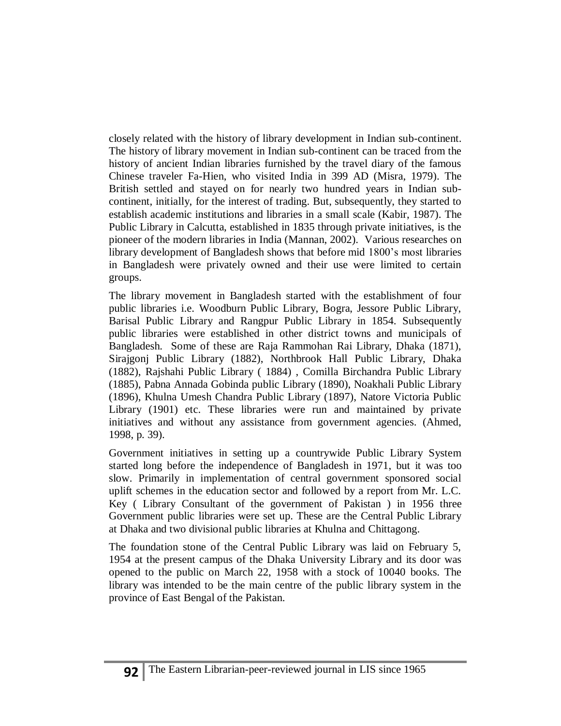closely related with the history of library development in Indian sub-continent. The history of library movement in Indian sub-continent can be traced from the history of ancient Indian libraries furnished by the travel diary of the famous Chinese traveler Fa-Hien, who visited India in 399 AD (Misra, 1979). The British settled and stayed on for nearly two hundred years in Indian subcontinent, initially, for the interest of trading. But, subsequently, they started to establish academic institutions and libraries in a small scale (Kabir, 1987). The Public Library in Calcutta, established in 1835 through private initiatives, is the pioneer of the modern libraries in India (Mannan, 2002). Various researches on library development of Bangladesh shows that before mid 1800's most libraries in Bangladesh were privately owned and their use were limited to certain groups.

The library movement in Bangladesh started with the establishment of four public libraries i.e. Woodburn Public Library, Bogra, Jessore Public Library, Barisal Public Library and Rangpur Public Library in 1854. Subsequently public libraries were established in other district towns and municipals of Bangladesh. Some of these are Raja Rammohan Rai Library, Dhaka (1871), Sirajgonj Public Library (1882), Northbrook Hall Public Library, Dhaka (1882), Rajshahi Public Library ( 1884) , Comilla Birchandra Public Library (1885), Pabna Annada Gobinda public Library (1890), Noakhali Public Library (1896), Khulna Umesh Chandra Public Library (1897), Natore Victoria Public Library (1901) etc. These libraries were run and maintained by private initiatives and without any assistance from government agencies. (Ahmed, 1998, p. 39).

Government initiatives in setting up a countrywide Public Library System started long before the independence of Bangladesh in 1971, but it was too slow. Primarily in implementation of central government sponsored social uplift schemes in the education sector and followed by a report from Mr. L.C. Key ( Library Consultant of the government of Pakistan ) in 1956 three Government public libraries were set up. These are the Central Public Library at Dhaka and two divisional public libraries at Khulna and Chittagong.

The foundation stone of the Central Public Library was laid on February 5, 1954 at the present campus of the Dhaka University Library and its door was opened to the public on March 22, 1958 with a stock of 10040 books. The library was intended to be the main centre of the public library system in the province of East Bengal of the Pakistan.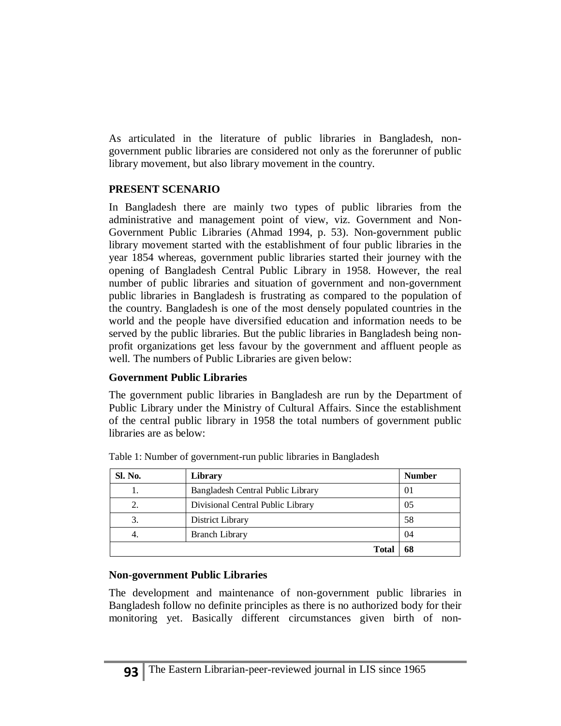As articulated in the literature of public libraries in Bangladesh, nongovernment public libraries are considered not only as the forerunner of public library movement, but also library movement in the country.

# **PRESENT SCENARIO**

In Bangladesh there are mainly two types of public libraries from the administrative and management point of view, viz. Government and Non-Government Public Libraries (Ahmad 1994, p. 53). Non-government public library movement started with the establishment of four public libraries in the year 1854 whereas, government public libraries started their journey with the opening of Bangladesh Central Public Library in 1958. However, the real number of public libraries and situation of government and non-government public libraries in Bangladesh is frustrating as compared to the population of the country. Bangladesh is one of the most densely populated countries in the world and the people have diversified education and information needs to be served by the public libraries. But the public libraries in Bangladesh being nonprofit organizations get less favour by the government and affluent people as well. The numbers of Public Libraries are given below:

# **Government Public Libraries**

The government public libraries in Bangladesh are run by the Department of Public Library under the Ministry of Cultural Affairs. Since the establishment of the central public library in 1958 the total numbers of government public libraries are as below:

| Sl. No. | Library                           | <b>Number</b> |
|---------|-----------------------------------|---------------|
|         | Bangladesh Central Public Library | 01            |
| 2.      | Divisional Central Public Library | 05            |
|         | District Library                  | 58            |
| 4.      | <b>Branch Library</b>             | 04            |
|         | <b>Total</b>                      | 68            |

Table 1: Number of government-run public libraries in Bangladesh

# **Non-government Public Libraries**

The development and maintenance of non-government public libraries in Bangladesh follow no definite principles as there is no authorized body for their monitoring yet. Basically different circumstances given birth of non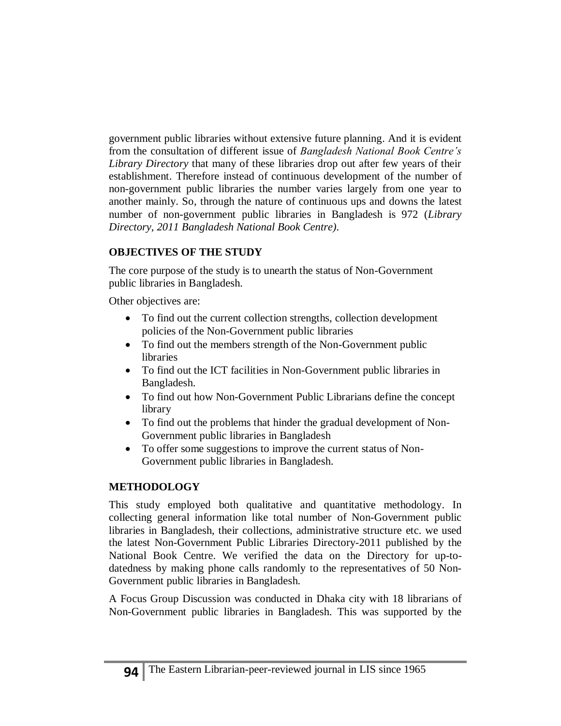government public libraries without extensive future planning. And it is evident from the consultation of different issue of *Bangladesh National Book Centre's Library Directory* that many of these libraries drop out after few years of their establishment. Therefore instead of continuous development of the number of non-government public libraries the number varies largely from one year to another mainly. So, through the nature of continuous ups and downs the latest number of non-government public libraries in Bangladesh is 972 (*Library Directory, 2011 Bangladesh National Book Centre).*

# **OBJECTIVES OF THE STUDY**

The core purpose of the study is to unearth the status of Non-Government public libraries in Bangladesh.

Other objectives are:

- To find out the current collection strengths, collection development policies of the Non-Government public libraries
- To find out the members strength of the Non-Government public libraries
- To find out the ICT facilities in Non-Government public libraries in Bangladesh.
- To find out how Non-Government Public Librarians define the concept library
- To find out the problems that hinder the gradual development of Non-Government public libraries in Bangladesh
- To offer some suggestions to improve the current status of Non-Government public libraries in Bangladesh.

# **METHODOLOGY**

This study employed both qualitative and quantitative methodology. In collecting general information like total number of Non-Government public libraries in Bangladesh, their collections, administrative structure etc. we used the latest Non-Government Public Libraries Directory-2011 published by the National Book Centre. We verified the data on the Directory for up-todatedness by making phone calls randomly to the representatives of 50 Non-Government public libraries in Bangladesh.

A Focus Group Discussion was conducted in Dhaka city with 18 librarians of Non-Government public libraries in Bangladesh. This was supported by the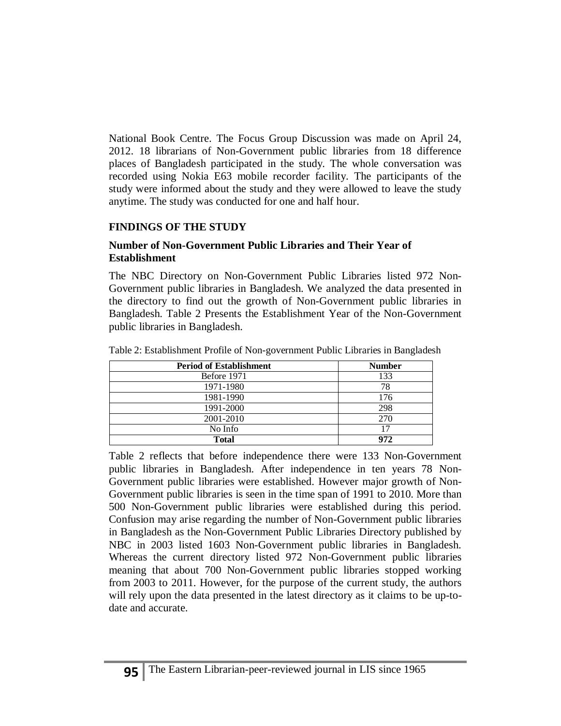National Book Centre. The Focus Group Discussion was made on April 24, 2012. 18 librarians of Non-Government public libraries from 18 difference places of Bangladesh participated in the study. The whole conversation was recorded using Nokia E63 mobile recorder facility. The participants of the study were informed about the study and they were allowed to leave the study anytime. The study was conducted for one and half hour.

# **FINDINGS OF THE STUDY**

## **Number of Non-Government Public Libraries and Their Year of Establishment**

The NBC Directory on Non-Government Public Libraries listed 972 Non-Government public libraries in Bangladesh. We analyzed the data presented in the directory to find out the growth of Non-Government public libraries in Bangladesh. Table 2 Presents the Establishment Year of the Non-Government public libraries in Bangladesh.

| <b>Period of Establishment</b> | <b>Number</b> |
|--------------------------------|---------------|
| Before 1971                    | 133           |
| 1971-1980                      | 78            |
| 1981-1990                      | 176           |
| 1991-2000                      | 298           |
| 2001-2010                      | 270           |
| No Info                        |               |
| <b>Total</b>                   | 972           |

Table 2: Establishment Profile of Non-government Public Libraries in Bangladesh

Table 2 reflects that before independence there were 133 Non-Government public libraries in Bangladesh. After independence in ten years 78 Non-Government public libraries were established. However major growth of Non-Government public libraries is seen in the time span of 1991 to 2010. More than 500 Non-Government public libraries were established during this period. Confusion may arise regarding the number of Non-Government public libraries in Bangladesh as the Non-Government Public Libraries Directory published by NBC in 2003 listed 1603 Non-Government public libraries in Bangladesh. Whereas the current directory listed 972 Non-Government public libraries meaning that about 700 Non-Government public libraries stopped working from 2003 to 2011. However, for the purpose of the current study, the authors will rely upon the data presented in the latest directory as it claims to be up-todate and accurate.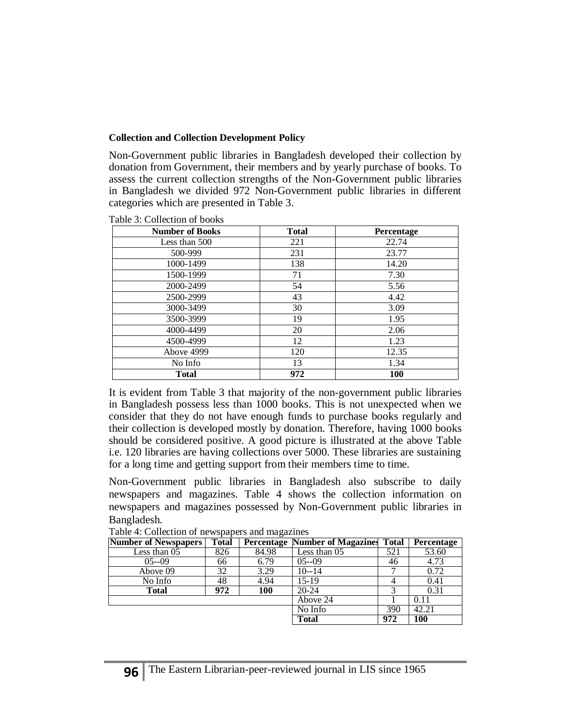## **Collection and Collection Development Policy**

Non-Government public libraries in Bangladesh developed their collection by donation from Government, their members and by yearly purchase of books. To assess the current collection strengths of the Non-Government public libraries in Bangladesh we divided 972 Non-Government public libraries in different categories which are presented in Table 3.

| <b>Number of Books</b> | <b>Total</b> | Percentage |
|------------------------|--------------|------------|
| Less than 500          | 221          | 22.74      |
| 500-999                | 231          | 23.77      |
| 1000-1499              | 138          | 14.20      |
| 1500-1999              | 71           | 7.30       |
| 2000-2499              | 54           | 5.56       |
| 2500-2999              | 43           | 4.42       |
| 3000-3499              | 30           | 3.09       |
| 3500-3999              | 19           | 1.95       |
| 4000-4499              | 20           | 2.06       |
| 4500-4999              | 12           | 1.23       |
| Above 4999             | 120          | 12.35      |
| No Info                | 13           | 1.34       |
| <b>Total</b>           | 972          | 100        |

Table 3: Collection of books

It is evident from Table 3 that majority of the non-government public libraries in Bangladesh possess less than 1000 books. This is not unexpected when we consider that they do not have enough funds to purchase books regularly and their collection is developed mostly by donation. Therefore, having 1000 books should be considered positive. A good picture is illustrated at the above Table i.e. 120 libraries are having collections over 5000. These libraries are sustaining for a long time and getting support from their members time to time.

Non-Government public libraries in Bangladesh also subscribe to daily newspapers and magazines. Table 4 shows the collection information on newspapers and magazines possessed by Non-Government public libraries in Bangladesh.

| <b>Number of Newspapers</b> | <b>Total</b> |       | <b>Percentage Number of Magazines Total</b> |     | <b>Percentage</b> |
|-----------------------------|--------------|-------|---------------------------------------------|-----|-------------------|
| Less than 05                | 826          | 84.98 | Less than 05                                | 521 | 53.60             |
| $0.5 - 0.09$                | 66           | 6.79  | $05 - 09$                                   | 46  | 4.73              |
| Above 09                    | 32           | 3.29  | $10 - 14$                                   |     | 0.72              |
| No Info                     | 48           | 4.94  | 15-19                                       |     | 0.41              |
| <b>Total</b>                | 972          | 100   | $20 - 24$                                   |     | 0.31              |
|                             |              |       | Above 24                                    |     | 0.11              |
|                             |              |       | No Info                                     | 390 | 42.21             |
|                             |              |       | <b>Total</b>                                | 972 | 100               |

Table 4: Collection of newspapers and magazines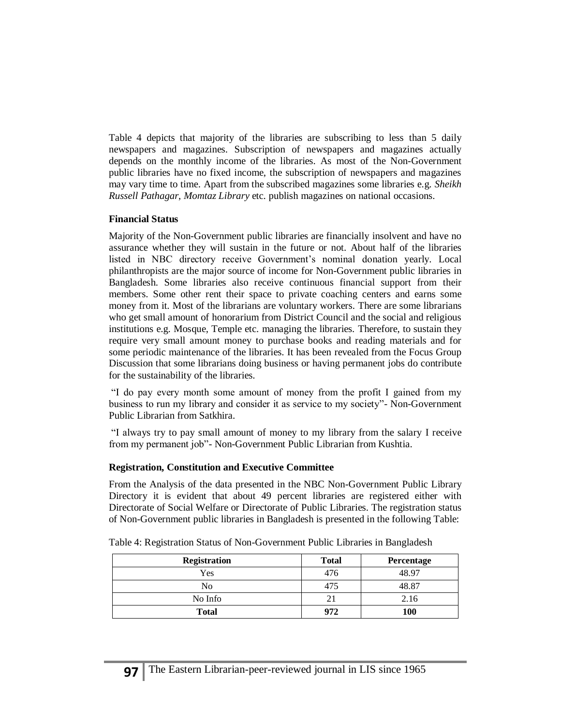Table 4 depicts that majority of the libraries are subscribing to less than 5 daily newspapers and magazines. Subscription of newspapers and magazines actually depends on the monthly income of the libraries. As most of the Non-Government public libraries have no fixed income, the subscription of newspapers and magazines may vary time to time. Apart from the subscribed magazines some libraries e.g. *Sheikh Russell Pathagar*, *Momtaz Library* etc. publish magazines on national occasions.

## **Financial Status**

Majority of the Non-Government public libraries are financially insolvent and have no assurance whether they will sustain in the future or not. About half of the libraries listed in NBC directory receive Government's nominal donation yearly. Local philanthropists are the major source of income for Non-Government public libraries in Bangladesh. Some libraries also receive continuous financial support from their members. Some other rent their space to private coaching centers and earns some money from it. Most of the librarians are voluntary workers. There are some librarians who get small amount of honorarium from District Council and the social and religious institutions e.g. Mosque, Temple etc. managing the libraries. Therefore, to sustain they require very small amount money to purchase books and reading materials and for some periodic maintenance of the libraries. It has been revealed from the Focus Group Discussion that some librarians doing business or having permanent jobs do contribute for the sustainability of the libraries.

"I do pay every month some amount of money from the profit I gained from my business to run my library and consider it as service to my society"- Non-Government Public Librarian from Satkhira.

"I always try to pay small amount of money to my library from the salary I receive from my permanent job"- Non-Government Public Librarian from Kushtia.

## **Registration, Constitution and Executive Committee**

From the Analysis of the data presented in the NBC Non-Government Public Library Directory it is evident that about 49 percent libraries are registered either with Directorate of Social Welfare or Directorate of Public Libraries. The registration status of Non-Government public libraries in Bangladesh is presented in the following Table:

| <b>Registration</b> | <b>Total</b> | Percentage |
|---------------------|--------------|------------|
| Yes                 | 476          | 48.97      |
| No                  | 475          | 48.87      |
| No Info             |              | 2.16       |
| <b>Total</b>        | 972          | 100        |

Table 4: Registration Status of Non-Government Public Libraries in Bangladesh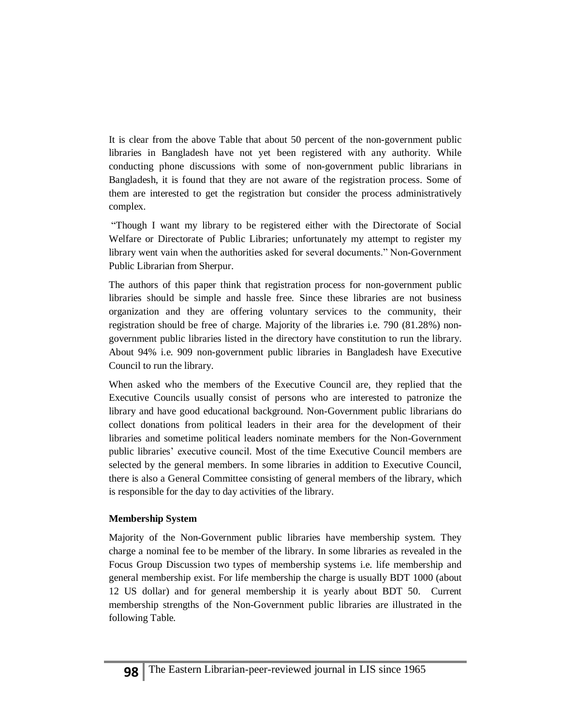It is clear from the above Table that about 50 percent of the non-government public libraries in Bangladesh have not yet been registered with any authority. While conducting phone discussions with some of non-government public librarians in Bangladesh, it is found that they are not aware of the registration process. Some of them are interested to get the registration but consider the process administratively complex.

"Though I want my library to be registered either with the Directorate of Social Welfare or Directorate of Public Libraries; unfortunately my attempt to register my library went vain when the authorities asked for several documents." Non-Government Public Librarian from Sherpur.

The authors of this paper think that registration process for non-government public libraries should be simple and hassle free. Since these libraries are not business organization and they are offering voluntary services to the community, their registration should be free of charge. Majority of the libraries i.e. 790 (81.28%) nongovernment public libraries listed in the directory have constitution to run the library. About 94% i.e. 909 non-government public libraries in Bangladesh have Executive Council to run the library.

When asked who the members of the Executive Council are, they replied that the Executive Councils usually consist of persons who are interested to patronize the library and have good educational background. Non-Government public librarians do collect donations from political leaders in their area for the development of their libraries and sometime political leaders nominate members for the Non-Government public libraries' executive council. Most of the time Executive Council members are selected by the general members. In some libraries in addition to Executive Council, there is also a General Committee consisting of general members of the library, which is responsible for the day to day activities of the library.

## **Membership System**

Majority of the Non-Government public libraries have membership system. They charge a nominal fee to be member of the library. In some libraries as revealed in the Focus Group Discussion two types of membership systems i.e. life membership and general membership exist. For life membership the charge is usually BDT 1000 (about 12 US dollar) and for general membership it is yearly about BDT 50. Current membership strengths of the Non-Government public libraries are illustrated in the following Table.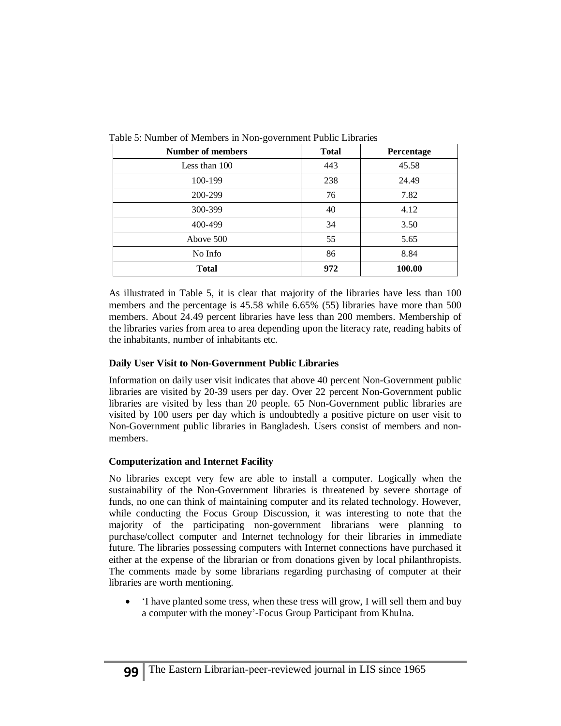| Number of members | <b>Total</b> | <b>Percentage</b> |
|-------------------|--------------|-------------------|
| Less than 100     | 443          | 45.58             |
| 100-199           | 238          | 24.49             |
| 200-299           | 76           | 7.82              |
| 300-399           | 40           | 4.12              |
| 400-499           | 34           | 3.50              |
| Above 500         | 55           | 5.65              |
| No Info           | 86           | 8.84              |
| <b>Total</b>      | 972          | 100.00            |

Table 5: Number of Members in Non-government Public Libraries

As illustrated in Table 5, it is clear that majority of the libraries have less than 100 members and the percentage is 45.58 while 6.65% (55) libraries have more than 500 members. About 24.49 percent libraries have less than 200 members. Membership of the libraries varies from area to area depending upon the literacy rate, reading habits of the inhabitants, number of inhabitants etc.

### **Daily User Visit to Non-Government Public Libraries**

Information on daily user visit indicates that above 40 percent Non-Government public libraries are visited by 20-39 users per day. Over 22 percent Non-Government public libraries are visited by less than 20 people. 65 Non-Government public libraries are visited by 100 users per day which is undoubtedly a positive picture on user visit to Non-Government public libraries in Bangladesh. Users consist of members and nonmembers.

## **Computerization and Internet Facility**

No libraries except very few are able to install a computer. Logically when the sustainability of the Non-Government libraries is threatened by severe shortage of funds, no one can think of maintaining computer and its related technology. However, while conducting the Focus Group Discussion, it was interesting to note that the majority of the participating non-government librarians were planning to purchase/collect computer and Internet technology for their libraries in immediate future. The libraries possessing computers with Internet connections have purchased it either at the expense of the librarian or from donations given by local philanthropists. The comments made by some librarians regarding purchasing of computer at their libraries are worth mentioning.

 'I have planted some tress, when these tress will grow, I will sell them and buy a computer with the money'-Focus Group Participant from Khulna.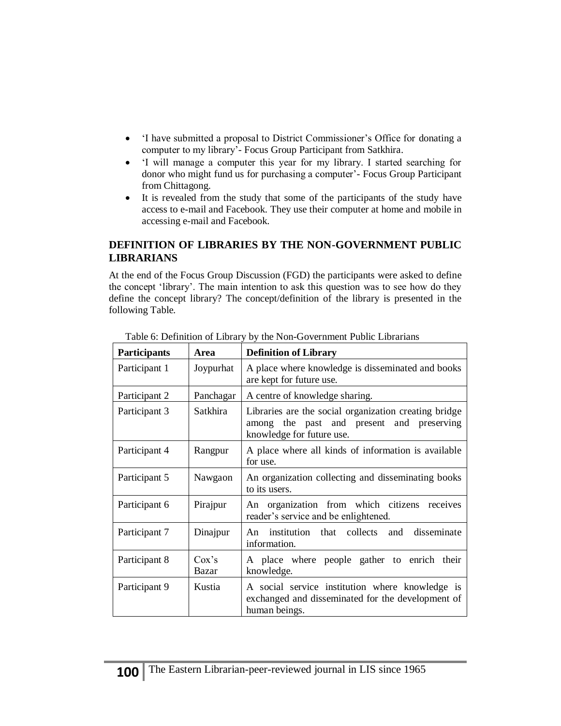- 'I have submitted a proposal to District Commissioner's Office for donating a computer to my library'- Focus Group Participant from Satkhira.
- 'I will manage a computer this year for my library. I started searching for donor who might fund us for purchasing a computer'- Focus Group Participant from Chittagong.
- It is revealed from the study that some of the participants of the study have access to e-mail and Facebook. They use their computer at home and mobile in accessing e-mail and Facebook.

## **DEFINITION OF LIBRARIES BY THE NON-GOVERNMENT PUBLIC LIBRARIANS**

At the end of the Focus Group Discussion (FGD) the participants were asked to define the concept 'library'. The main intention to ask this question was to see how do they define the concept library? The concept/definition of the library is presented in the following Table.

| Participants  | Area           | <b>Definition of Library</b>                                                                                                    |  |
|---------------|----------------|---------------------------------------------------------------------------------------------------------------------------------|--|
| Participant 1 | Joypurhat      | A place where knowledge is disseminated and books<br>are kept for future use.                                                   |  |
| Participant 2 | Panchagar      | A centre of knowledge sharing.                                                                                                  |  |
| Participant 3 | Satkhira       | Libraries are the social organization creating bridge<br>among the past and present and preserving<br>knowledge for future use. |  |
| Participant 4 | Rangpur        | A place where all kinds of information is available<br>for use.                                                                 |  |
| Participant 5 | Nawgaon        | An organization collecting and disseminating books<br>to its users.                                                             |  |
| Participant 6 | Pirajpur       | An organization from which citizens receives<br>reader's service and be enlightened.                                            |  |
| Participant 7 | Dinajpur       | An institution that collects and<br>disseminate<br>information.                                                                 |  |
| Participant 8 | Cox's<br>Bazar | A place where people gather to enrich their<br>knowledge.                                                                       |  |
| Participant 9 | Kustia         | A social service institution where knowledge is<br>exchanged and disseminated for the development of<br>human beings.           |  |

Table 6: Definition of Library by the Non-Government Public Librarians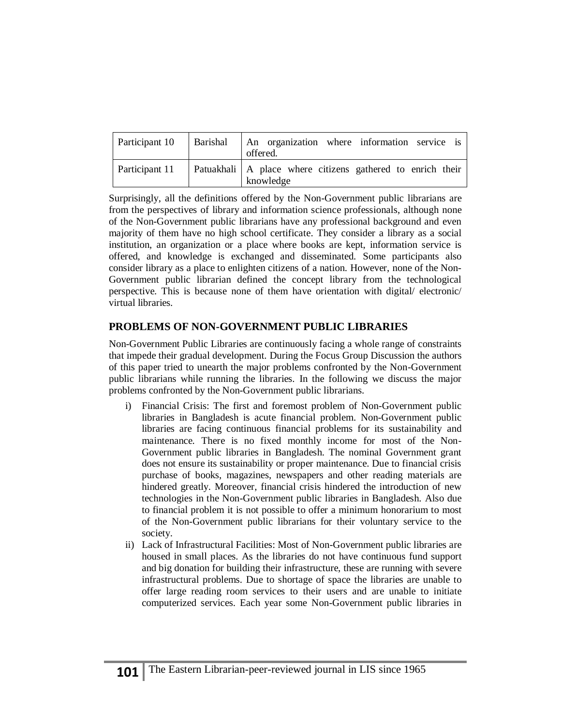| Participant 10 | Barishal | An organization where information service is<br>offered.                  |
|----------------|----------|---------------------------------------------------------------------------|
| Participant 11 |          | Patuakhali   A place where citizens gathered to enrich their<br>knowledge |

Surprisingly, all the definitions offered by the Non-Government public librarians are from the perspectives of library and information science professionals, although none of the Non-Government public librarians have any professional background and even majority of them have no high school certificate. They consider a library as a social institution, an organization or a place where books are kept, information service is offered, and knowledge is exchanged and disseminated. Some participants also consider library as a place to enlighten citizens of a nation. However, none of the Non-Government public librarian defined the concept library from the technological perspective. This is because none of them have orientation with digital/ electronic/ virtual libraries.

## **PROBLEMS OF NON-GOVERNMENT PUBLIC LIBRARIES**

Non-Government Public Libraries are continuously facing a whole range of constraints that impede their gradual development. During the Focus Group Discussion the authors of this paper tried to unearth the major problems confronted by the Non-Government public librarians while running the libraries. In the following we discuss the major problems confronted by the Non-Government public librarians.

- i) Financial Crisis: The first and foremost problem of Non-Government public libraries in Bangladesh is acute financial problem. Non-Government public libraries are facing continuous financial problems for its sustainability and maintenance. There is no fixed monthly income for most of the Non-Government public libraries in Bangladesh. The nominal Government grant does not ensure its sustainability or proper maintenance. Due to financial crisis purchase of books, magazines, newspapers and other reading materials are hindered greatly. Moreover, financial crisis hindered the introduction of new technologies in the Non-Government public libraries in Bangladesh. Also due to financial problem it is not possible to offer a minimum honorarium to most of the Non-Government public librarians for their voluntary service to the society.
- ii) Lack of Infrastructural Facilities: Most of Non-Government public libraries are housed in small places. As the libraries do not have continuous fund support and big donation for building their infrastructure, these are running with severe infrastructural problems. Due to shortage of space the libraries are unable to offer large reading room services to their users and are unable to initiate computerized services. Each year some Non-Government public libraries in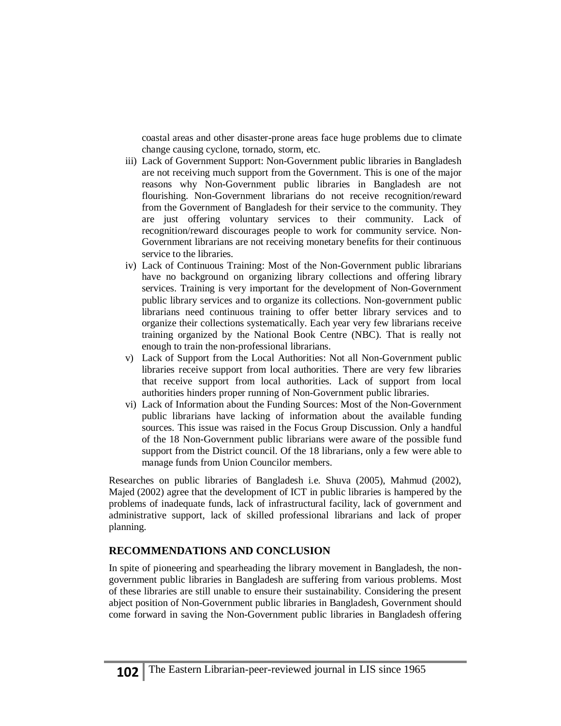coastal areas and other disaster-prone areas face huge problems due to climate change causing cyclone, tornado, storm, etc.

- iii) Lack of Government Support: Non-Government public libraries in Bangladesh are not receiving much support from the Government. This is one of the major reasons why Non-Government public libraries in Bangladesh are not flourishing. Non-Government librarians do not receive recognition/reward from the Government of Bangladesh for their service to the community. They are just offering voluntary services to their community. Lack of recognition/reward discourages people to work for community service. Non-Government librarians are not receiving monetary benefits for their continuous service to the libraries.
- iv) Lack of Continuous Training: Most of the Non-Government public librarians have no background on organizing library collections and offering library services. Training is very important for the development of Non-Government public library services and to organize its collections. Non-government public librarians need continuous training to offer better library services and to organize their collections systematically. Each year very few librarians receive training organized by the National Book Centre (NBC). That is really not enough to train the non-professional librarians.
- v) Lack of Support from the Local Authorities: Not all Non-Government public libraries receive support from local authorities. There are very few libraries that receive support from local authorities. Lack of support from local authorities hinders proper running of Non-Government public libraries.
- vi) Lack of Information about the Funding Sources: Most of the Non-Government public librarians have lacking of information about the available funding sources. This issue was raised in the Focus Group Discussion. Only a handful of the 18 Non-Government public librarians were aware of the possible fund support from the District council. Of the 18 librarians, only a few were able to manage funds from Union Councilor members.

Researches on public libraries of Bangladesh i.e. Shuva (2005), Mahmud (2002), Majed (2002) agree that the development of ICT in public libraries is hampered by the problems of inadequate funds, lack of infrastructural facility, lack of government and administrative support, lack of skilled professional librarians and lack of proper planning.

# **RECOMMENDATIONS AND CONCLUSION**

In spite of pioneering and spearheading the library movement in Bangladesh, the nongovernment public libraries in Bangladesh are suffering from various problems. Most of these libraries are still unable to ensure their sustainability. Considering the present abject position of Non-Government public libraries in Bangladesh, Government should come forward in saving the Non-Government public libraries in Bangladesh offering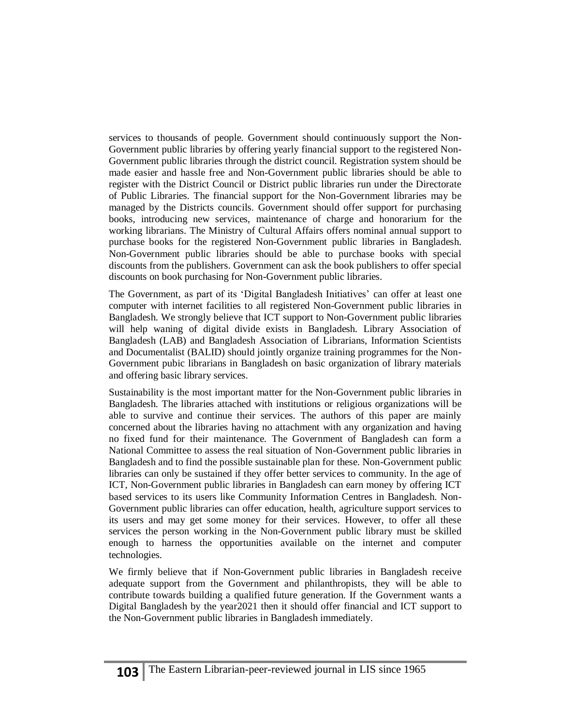services to thousands of people. Government should continuously support the Non-Government public libraries by offering yearly financial support to the registered Non-Government public libraries through the district council. Registration system should be made easier and hassle free and Non-Government public libraries should be able to register with the District Council or District public libraries run under the Directorate of Public Libraries. The financial support for the Non-Government libraries may be managed by the Districts councils. Government should offer support for purchasing books, introducing new services, maintenance of charge and honorarium for the working librarians. The Ministry of Cultural Affairs offers nominal annual support to purchase books for the registered Non-Government public libraries in Bangladesh. Non-Government public libraries should be able to purchase books with special discounts from the publishers. Government can ask the book publishers to offer special discounts on book purchasing for Non-Government public libraries.

The Government, as part of its 'Digital Bangladesh Initiatives' can offer at least one computer with internet facilities to all registered Non-Government public libraries in Bangladesh. We strongly believe that ICT support to Non-Government public libraries will help waning of digital divide exists in Bangladesh. Library Association of Bangladesh (LAB) and Bangladesh Association of Librarians, Information Scientists and Documentalist (BALID) should jointly organize training programmes for the Non-Government pubic librarians in Bangladesh on basic organization of library materials and offering basic library services.

Sustainability is the most important matter for the Non-Government public libraries in Bangladesh. The libraries attached with institutions or religious organizations will be able to survive and continue their services. The authors of this paper are mainly concerned about the libraries having no attachment with any organization and having no fixed fund for their maintenance. The Government of Bangladesh can form a National Committee to assess the real situation of Non-Government public libraries in Bangladesh and to find the possible sustainable plan for these. Non-Government public libraries can only be sustained if they offer better services to community. In the age of ICT, Non-Government public libraries in Bangladesh can earn money by offering ICT based services to its users like Community Information Centres in Bangladesh. Non-Government public libraries can offer education, health, agriculture support services to its users and may get some money for their services. However, to offer all these services the person working in the Non-Government public library must be skilled enough to harness the opportunities available on the internet and computer technologies.

We firmly believe that if Non-Government public libraries in Bangladesh receive adequate support from the Government and philanthropists, they will be able to contribute towards building a qualified future generation. If the Government wants a Digital Bangladesh by the year2021 then it should offer financial and ICT support to the Non-Government public libraries in Bangladesh immediately.